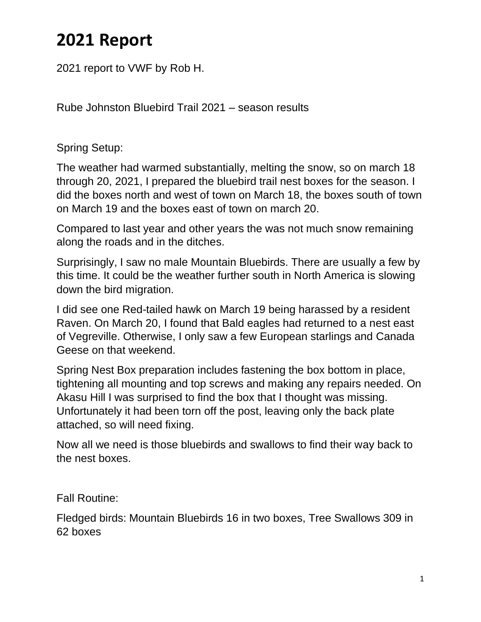## **2021 Report**

2021 report to VWF by Rob H.

Rube Johnston Bluebird Trail 2021 – season results

Spring Setup:

The weather had warmed substantially, melting the snow, so on march 18 through 20, 2021, I prepared the bluebird trail nest boxes for the season. I did the boxes north and west of town on March 18, the boxes south of town on March 19 and the boxes east of town on march 20.

Compared to last year and other years the was not much snow remaining along the roads and in the ditches.

Surprisingly, I saw no male Mountain Bluebirds. There are usually a few by this time. It could be the weather further south in North America is slowing down the bird migration.

I did see one Red-tailed hawk on March 19 being harassed by a resident Raven. On March 20, I found that Bald eagles had returned to a nest east of Vegreville. Otherwise, I only saw a few European starlings and Canada Geese on that weekend.

Spring Nest Box preparation includes fastening the box bottom in place, tightening all mounting and top screws and making any repairs needed. On Akasu Hill I was surprised to find the box that I thought was missing. Unfortunately it had been torn off the post, leaving only the back plate attached, so will need fixing.

Now all we need is those bluebirds and swallows to find their way back to the nest boxes.

Fall Routine:

Fledged birds: Mountain Bluebirds 16 in two boxes, Tree Swallows 309 in 62 boxes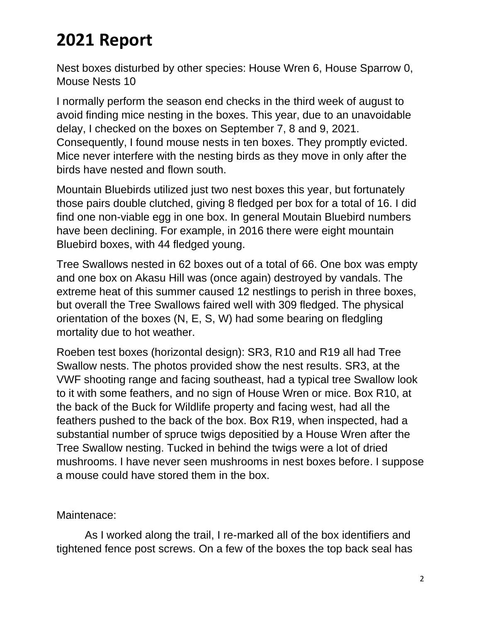## **2021 Report**

Nest boxes disturbed by other species: House Wren 6, House Sparrow 0, Mouse Nests 10

I normally perform the season end checks in the third week of august to avoid finding mice nesting in the boxes. This year, due to an unavoidable delay, I checked on the boxes on September 7, 8 and 9, 2021. Consequently, I found mouse nests in ten boxes. They promptly evicted. Mice never interfere with the nesting birds as they move in only after the birds have nested and flown south.

Mountain Bluebirds utilized just two nest boxes this year, but fortunately those pairs double clutched, giving 8 fledged per box for a total of 16. I did find one non-viable egg in one box. In general Moutain Bluebird numbers have been declining. For example, in 2016 there were eight mountain Bluebird boxes, with 44 fledged young.

Tree Swallows nested in 62 boxes out of a total of 66. One box was empty and one box on Akasu Hill was (once again) destroyed by vandals. The extreme heat of this summer caused 12 nestlings to perish in three boxes, but overall the Tree Swallows faired well with 309 fledged. The physical orientation of the boxes (N, E, S, W) had some bearing on fledgling mortality due to hot weather.

Roeben test boxes (horizontal design): SR3, R10 and R19 all had Tree Swallow nests. The photos provided show the nest results. SR3, at the VWF shooting range and facing southeast, had a typical tree Swallow look to it with some feathers, and no sign of House Wren or mice. Box R10, at the back of the Buck for Wildlife property and facing west, had all the feathers pushed to the back of the box. Box R19, when inspected, had a substantial number of spruce twigs depositied by a House Wren after the Tree Swallow nesting. Tucked in behind the twigs were a lot of dried mushrooms. I have never seen mushrooms in nest boxes before. I suppose a mouse could have stored them in the box.

Maintenace:

As I worked along the trail, I re-marked all of the box identifiers and tightened fence post screws. On a few of the boxes the top back seal has